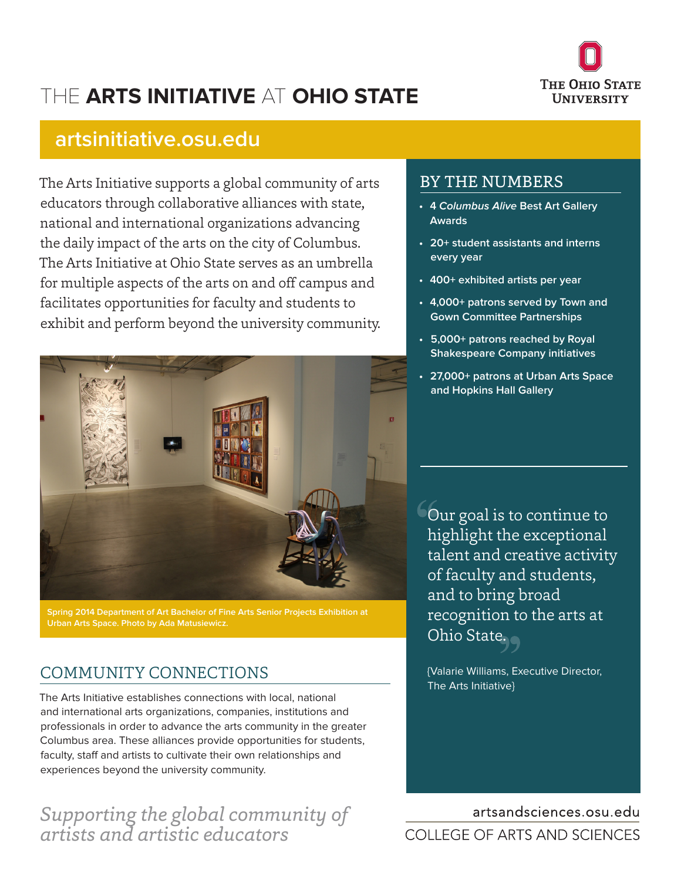

# THE **ARTS INITIATIVE** AT **OHIO STATE**

## **artsinitiative.osu.edu**

The Arts Initiative supports a global community of arts educators through collaborative alliances with state, national and international organizations advancing the daily impact of the arts on the city of Columbus. The Arts Initiative at Ohio State serves as an umbrella for multiple aspects of the arts on and off campus and facilitates opportunities for faculty and students to exhibit and perform beyond the university community.



**Spring 2014 Department of Art Bachelor of Fine Arts Senior Projects Exhibition at Urban Arts Space. Photo by Ada Matusiewicz.**

### COMMUNITY CONNECTIONS

The Arts Initiative establishes connections with local, national and international arts organizations, companies, institutions and professionals in order to advance the arts community in the greater Columbus area. These alliances provide opportunities for students, faculty, staff and artists to cultivate their own relationships and experiences beyond the university community.

## *Supporting the global community of artists and artistic educators*

#### BY THE NUMBERS

- **• 4 Columbus Alive Best Art Gallery Awards**
- **• 20+ student assistants and interns every year**
- **• 400+ exhibited artists per year**
- **• 4,000+ patrons served by Town and Gown Committee Partnerships**
- **• 5,000+ patrons reached by Royal Shakespeare Company initiatives**
- **• 27,000+ patrons at Urban Arts Space and Hopkins Hall Gallery**

Our goal is to continue to highlight the exceptional talent and creative activity of faculty and students, and to bring broad recognition to the arts at Ohio State.

{Valarie Williams, Executive Director, The Arts Initiative}

## artsandsciences.osu.edu COLLEGE OF ARTS AND SCIENCES